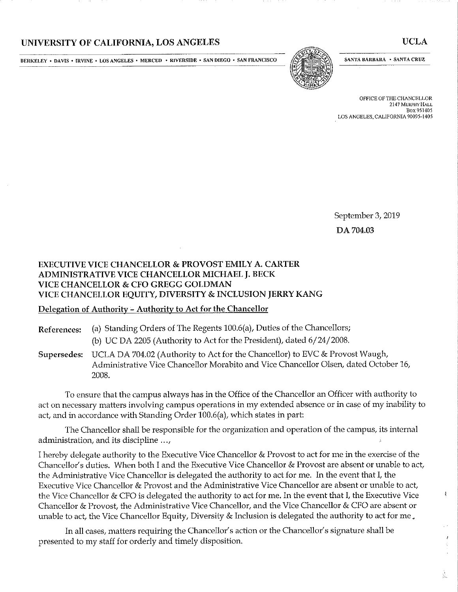## UNIVERSITY OF CALIFORNIA, LOS ANGELES

**BERKELEY • DAVIS • IRVINE • LOS ANGELES • MERCED • RIVERSIDE • SAN DIEGO • SAN FRANCISCO** 



**SANTA BARBARA • SANTA CRUZ** 

OFFICE OF THE CHANCELLOR 2147 MURPHY HALL Box 951405 LOS ANGELES. CALIFORNIA 90095-1405

September 3, 2019 DA 704.03

## EXECUTIVE VICE CHANCELLOR & PROVOST EMILY A. CARTER ADMINISTRATIVE VICE CHANCELLOR MICHAEL J. BECK VICE CHANCELLOR & CFO GREGG GOLDMAN VICE CHANCELLOR EQUITY, DIVERSITY & INCLUSION JERRY KANG

## Delegation of Authority - Authority to Act for the Chancellor

References: (a) Standing Orders of The Regents 100.6(a), Duties of the Chancellors;

(b) UC DA 2205 (Authority to Act for the President), dated 6/24/2008.

Supersedes: UCLA DA 704.02 (Authority to Act for the Chancellor) to EVC & Provost Waugh, Administrative Vice Chancellor Morabito and Vice Chancellor Olsen, dated October 16, 2008.

To ensure that the campus always has in the Office of the Chancellor an Officer with authority to act on necessary matters involving campus operations in my extended absence or in case of my inability to act, and in accordance with Standing Order 100.6(a), which states in part:

The Chancellor shall be responsible for the organization and operation of the campus, its internal administration, and its discipline ...,

I hereby delegate authority to the Executive Vice Chancellor & Provost to act for me in the exercise of the Chancellor's duties. When both I and the Executive Vice Chancellor & Provost are absent or unable to act, the Administrative Vice Chancellor is delegated the authority to act for me. In the event that I, the Executive Vice Chancellor & Provost and the Administrative Vice Chancellor are absent or unable to act, the Vice Chancellor & CFO is delegated the authority to act for me. In the event that I, the Executive Vice Chancellor & Provost, the Administrative Vice Chancellor, and the Vice Chancellor & CFO are absent or unable to act, the Vice Chancellor Equity, Diversity & Inclusion is delegated the authority to act for me.

In all cases, matters requiring the Chancellor's action or the Chancellor's signature shall be presented to my staff for orderly and timely disposition.

 $\pmb{\chi}$